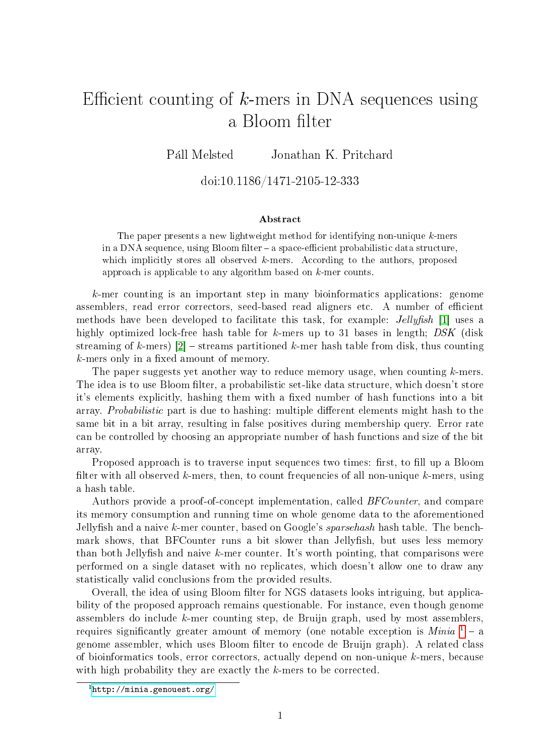## Efficient counting of  $k$ -mers in DNA sequences using a Bloom filter

Páll Melsted Jonathan K. Pritchard

## doi:10.1186/1471-2105-12-333

## Abstract

The paper presents a new lightweight method for identifying non-unique k-mers in a DNA sequence, using Bloom filter – a space-efficient probabilistic data structure, which implicitly stores all observed  $k$ -mers. According to the authors, proposed approach is applicable to any algorithm based on k-mer counts.

k-mer counting is an important step in many bioinformatics applications: genome assemblers, read error correctors, seed-based read aligners etc. A number of efficient methods have been developed to facilitate this task, for example: *Jellyfish* [1] uses a highly optimized lock-free hash table for k-mers up to 31 bases in length;  $DSK$  (disk streaming of k-mers)  $[2]$  – streams partitioned k-mer hash table from disk, thus counting  $k$ -mers only in a fixed amount of memory.

The paper suggests yet another way to reduce memory usage, when counting  $k$ -mers. The idea is to use Bloom filter, a probabilistic set-like data structure, which doesn't store it's elements explicitly, hashing them with a fixed number of hash functions into a bit array. *Probabilistic* part is due to hashing: multiple different elements might hash to the same bit in a bit array, resulting in false positives during membership query. Error rate can be controlled by choosing an appropriate number of hash functions and size of the bit array.

Proposed approach is to traverse input sequences two times: first, to fill up a Bloom filter with all observed  $k$ -mers, then, to count frequencies of all non-unique  $k$ -mers, using a hash table.

Authors provide a proof-of-concept implementation, called *BFCounter*, and compare its memory consumption and running time on whole genome data to the aforementioned Jellyfish and a naive k-mer counter, based on Google's *sparsehash* hash table. The benchmark shows, that BFCounter runs a bit slower than Jellyfish, but uses less memory than both Jellyfish and naive k-mer counter. It's worth pointing, that comparisons were performed on a single dataset with no replicates, which doesn't allow one to draw any statistically valid conclusions from the provided results.

Overall, the idea of using Bloom filter for NGS datasets looks intriguing, but applicability of the proposed approach remains questionable. For instance, even though genome assemblers do include *k*-mer counting step, de Bruijn graph, used by most assemblers. requires significantly greater amount of memory (one notable exception is  $Minia^{-1} - a$  $Minia^{-1} - a$  $Minia^{-1} - a$ genome assembler, which uses Bloom filter to encode de Bruijn graph). A related class of bioinformatics tools, error correctors, actually depend on non-unique k-mers, because with high probability they are exactly the  $k$ -mers to be corrected.

<span id="page-0-0"></span> $1$ <http://minia.genouest.org/>